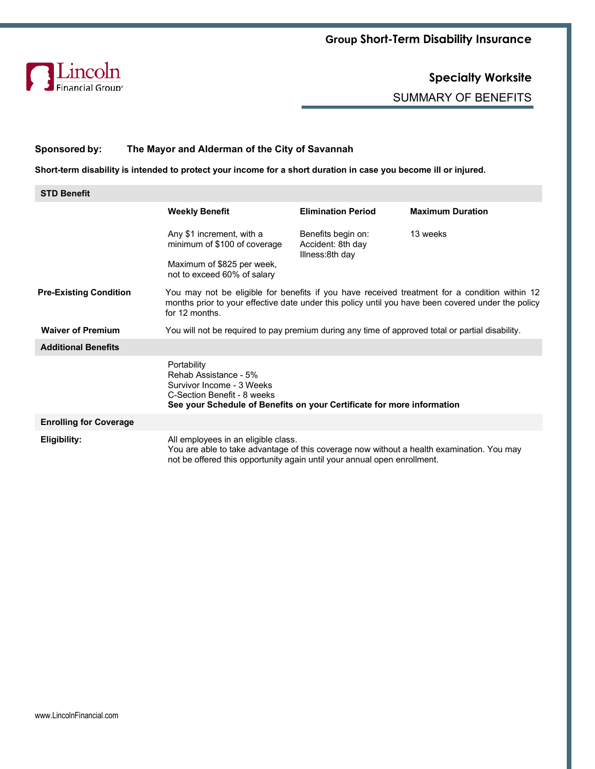

SUMMARY OF BENEFITS

## **Sponsored by: The Mayor and Alderman of the City of Savannah**

**Short-term disability is intended to protect your income for a short duration in case you become ill or injured.**

| <b>STD Benefit</b>            |                                                                                                                                                                                                                       |                                                            |                         |  |  |  |
|-------------------------------|-----------------------------------------------------------------------------------------------------------------------------------------------------------------------------------------------------------------------|------------------------------------------------------------|-------------------------|--|--|--|
|                               | <b>Weekly Benefit</b>                                                                                                                                                                                                 | <b>Elimination Period</b>                                  | <b>Maximum Duration</b> |  |  |  |
|                               | Any \$1 increment, with a<br>minimum of \$100 of coverage                                                                                                                                                             | Benefits begin on:<br>Accident: 8th day<br>Illness:8th day | 13 weeks                |  |  |  |
|                               | Maximum of \$825 per week,<br>not to exceed 60% of salary                                                                                                                                                             |                                                            |                         |  |  |  |
| <b>Pre-Existing Condition</b> | You may not be eligible for benefits if you have received treatment for a condition within 12<br>months prior to your effective date under this policy until you have been covered under the policy<br>for 12 months. |                                                            |                         |  |  |  |
| <b>Waiver of Premium</b>      | You will not be required to pay premium during any time of approved total or partial disability.                                                                                                                      |                                                            |                         |  |  |  |
| <b>Additional Benefits</b>    |                                                                                                                                                                                                                       |                                                            |                         |  |  |  |
|                               | Portability<br>Rehab Assistance - 5%<br>Survivor Income - 3 Weeks<br>C-Section Benefit - 8 weeks<br>See your Schedule of Benefits on your Certificate for more information                                            |                                                            |                         |  |  |  |
| <b>Enrolling for Coverage</b> |                                                                                                                                                                                                                       |                                                            |                         |  |  |  |
| Eligibility:                  | All employees in an eligible class.<br>You are able to take advantage of this coverage now without a health examination. You may<br>not be offered this opportunity again until your annual open enrollment.          |                                                            |                         |  |  |  |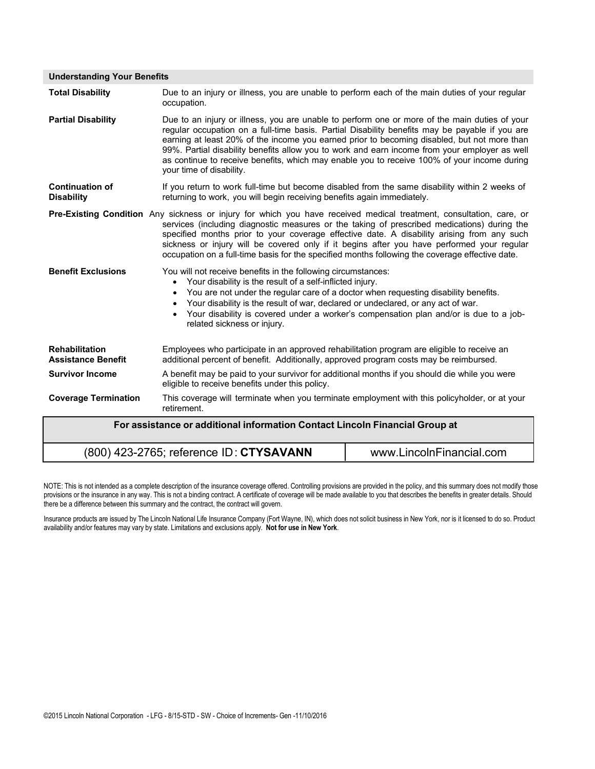| <b>Understanding Your Benefits</b>                                          |                                                                                                                                                                                                                                                                                                                                                                                                                                                                                                                            |                          |  |  |  |  |
|-----------------------------------------------------------------------------|----------------------------------------------------------------------------------------------------------------------------------------------------------------------------------------------------------------------------------------------------------------------------------------------------------------------------------------------------------------------------------------------------------------------------------------------------------------------------------------------------------------------------|--------------------------|--|--|--|--|
| <b>Total Disability</b>                                                     | Due to an injury or illness, you are unable to perform each of the main duties of your regular<br>occupation.                                                                                                                                                                                                                                                                                                                                                                                                              |                          |  |  |  |  |
| <b>Partial Disability</b>                                                   | Due to an injury or illness, you are unable to perform one or more of the main duties of your<br>regular occupation on a full-time basis. Partial Disability benefits may be payable if you are<br>earning at least 20% of the income you earned prior to becoming disabled, but not more than<br>99%. Partial disability benefits allow you to work and earn income from your employer as well<br>as continue to receive benefits, which may enable you to receive 100% of your income during<br>your time of disability. |                          |  |  |  |  |
| <b>Continuation of</b><br><b>Disability</b>                                 | If you return to work full-time but become disabled from the same disability within 2 weeks of<br>returning to work, you will begin receiving benefits again immediately.                                                                                                                                                                                                                                                                                                                                                  |                          |  |  |  |  |
|                                                                             | Pre-Existing Condition Any sickness or injury for which you have received medical treatment, consultation, care, or<br>services (including diagnostic measures or the taking of prescribed medications) during the<br>specified months prior to your coverage effective date. A disability arising from any such<br>sickness or injury will be covered only if it begins after you have performed your regular<br>occupation on a full-time basis for the specified months following the coverage effective date.          |                          |  |  |  |  |
| <b>Benefit Exclusions</b>                                                   | You will not receive benefits in the following circumstances:<br>Your disability is the result of a self-inflicted injury.<br>$\bullet$<br>You are not under the regular care of a doctor when requesting disability benefits.<br>$\bullet$<br>Your disability is the result of war, declared or undeclared, or any act of war.<br>Your disability is covered under a worker's compensation plan and/or is due to a job-<br>related sickness or injury.                                                                    |                          |  |  |  |  |
| <b>Rehabilitation</b><br><b>Assistance Benefit</b>                          | Employees who participate in an approved rehabilitation program are eligible to receive an<br>additional percent of benefit. Additionally, approved program costs may be reimbursed.                                                                                                                                                                                                                                                                                                                                       |                          |  |  |  |  |
| <b>Survivor Income</b>                                                      | A benefit may be paid to your survivor for additional months if you should die while you were<br>eligible to receive benefits under this policy.                                                                                                                                                                                                                                                                                                                                                                           |                          |  |  |  |  |
| <b>Coverage Termination</b>                                                 | This coverage will terminate when you terminate employment with this policyholder, or at your<br>retirement.                                                                                                                                                                                                                                                                                                                                                                                                               |                          |  |  |  |  |
| For assistance or additional information Contact Lincoln Financial Group at |                                                                                                                                                                                                                                                                                                                                                                                                                                                                                                                            |                          |  |  |  |  |
|                                                                             | (800) 423-2765; reference ID: CTYSAVANN                                                                                                                                                                                                                                                                                                                                                                                                                                                                                    | www.LincolnFinancial.com |  |  |  |  |

NOTE: This is not intended as a complete description of the insurance coverage offered. Controlling provisions are provided in the policy, and this summary does not modify those provisions or the insurance in any way. This is not a binding contract. A certificate of coverage will be made available to you that describes the benefits in greater details. Should there be a difference between this summary and the contract, the contract will govern.

Insurance products are issued by The Lincoln National Life Insurance Company (Fort Wayne, IN), which does not solicit business in New York, nor is it licensed to do so. Product availability and/or features may vary by state. Limitations and exclusions apply. **Not for use in New York**.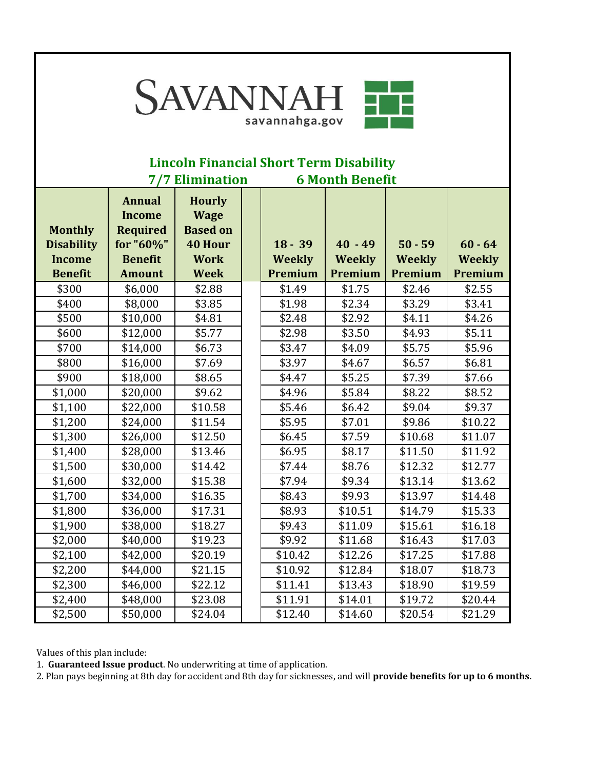

## **Lincoln Financial Short Term Disability 7/7 Elimination 6 Month Benefit**

| <b>Monthly</b><br><b>Disability</b><br><b>Income</b><br><b>Benefit</b> | <b>Annual</b><br><b>Income</b><br><b>Required</b><br>for "60%"<br><b>Benefit</b><br><b>Amount</b> | <b>Hourly</b><br><b>Wage</b><br><b>Based on</b><br><b>40 Hour</b><br><b>Work</b><br><b>Week</b> | $18 - 39$<br><b>Weekly</b><br>Premium | $40 - 49$<br><b>Weekly</b><br>Premium | $50 - 59$<br><b>Weekly</b><br>Premium | $60 - 64$<br><b>Weekly</b><br>Premium |
|------------------------------------------------------------------------|---------------------------------------------------------------------------------------------------|-------------------------------------------------------------------------------------------------|---------------------------------------|---------------------------------------|---------------------------------------|---------------------------------------|
| \$300                                                                  | \$6,000                                                                                           | \$2.88                                                                                          | \$1.49                                | \$1.75                                | \$2.46                                | \$2.55                                |
| \$400                                                                  | \$8,000                                                                                           | \$3.85                                                                                          | \$1.98                                | \$2.34                                | \$3.29                                | \$3.41                                |
| \$500                                                                  | \$10,000                                                                                          | \$4.81                                                                                          | \$2.48                                | \$2.92                                | \$4.11                                | \$4.26                                |
| \$600                                                                  | \$12,000                                                                                          | \$5.77                                                                                          | \$2.98                                | \$3.50                                | \$4.93                                | \$5.11                                |
| \$700                                                                  | \$14,000                                                                                          | \$6.73                                                                                          | \$3.47                                | \$4.09                                | \$5.75                                | \$5.96                                |
| \$800                                                                  | \$16,000                                                                                          | \$7.69                                                                                          | \$3.97                                | \$4.67                                | \$6.57                                | \$6.81                                |
| \$900                                                                  | \$18,000                                                                                          | \$8.65                                                                                          | \$4.47                                | \$5.25                                | \$7.39                                | \$7.66                                |
| \$1,000                                                                | \$20,000                                                                                          | \$9.62                                                                                          | \$4.96                                | \$5.84                                | \$8.22                                | \$8.52                                |
| \$1,100                                                                | \$22,000                                                                                          | \$10.58                                                                                         | \$5.46                                | \$6.42                                | \$9.04                                | \$9.37                                |
| \$1,200                                                                | \$24,000                                                                                          | \$11.54                                                                                         | \$5.95                                | \$7.01                                | \$9.86                                | \$10.22                               |
| \$1,300                                                                | \$26,000                                                                                          | \$12.50                                                                                         | \$6.45                                | \$7.59                                | \$10.68                               | \$11.07                               |
| \$1,400                                                                | \$28,000                                                                                          | \$13.46                                                                                         | \$6.95                                | \$8.17                                | \$11.50                               | \$11.92                               |
| \$1,500                                                                | \$30,000                                                                                          | \$14.42                                                                                         | \$7.44                                | \$8.76                                | \$12.32                               | \$12.77                               |
| \$1,600                                                                | \$32,000                                                                                          | \$15.38                                                                                         | \$7.94                                | \$9.34                                | \$13.14                               | \$13.62                               |
| \$1,700                                                                | \$34,000                                                                                          | \$16.35                                                                                         | \$8.43                                | \$9.93                                | \$13.97                               | \$14.48                               |
| \$1,800                                                                | \$36,000                                                                                          | \$17.31                                                                                         | \$8.93                                | \$10.51                               | \$14.79                               | \$15.33                               |
| \$1,900                                                                | \$38,000                                                                                          | \$18.27                                                                                         | \$9.43                                | \$11.09                               | \$15.61                               | \$16.18                               |
| \$2,000                                                                | \$40,000                                                                                          | \$19.23                                                                                         | \$9.92                                | \$11.68                               | \$16.43                               | \$17.03                               |
| \$2,100                                                                | \$42,000                                                                                          | \$20.19                                                                                         | \$10.42                               | \$12.26                               | \$17.25                               | \$17.88                               |
| \$2,200                                                                | \$44,000                                                                                          | \$21.15                                                                                         | \$10.92                               | \$12.84                               | \$18.07                               | \$18.73                               |
| \$2,300                                                                | \$46,000                                                                                          | \$22.12                                                                                         | \$11.41                               | \$13.43                               | \$18.90                               | \$19.59                               |
| \$2,400                                                                | \$48,000                                                                                          | \$23.08                                                                                         | \$11.91                               | \$14.01                               | \$19.72                               | \$20.44                               |
| \$2,500                                                                | \$50,000                                                                                          | \$24.04                                                                                         | \$12.40                               | \$14.60                               | \$20.54                               | \$21.29                               |

Values of this plan include:

1. **Guaranteed Issue product**. No underwriting at time of application.

2. Plan pays beginning at 8th day for accident and 8th day for sicknesses, and will **provide benefits for up to 6 months.**